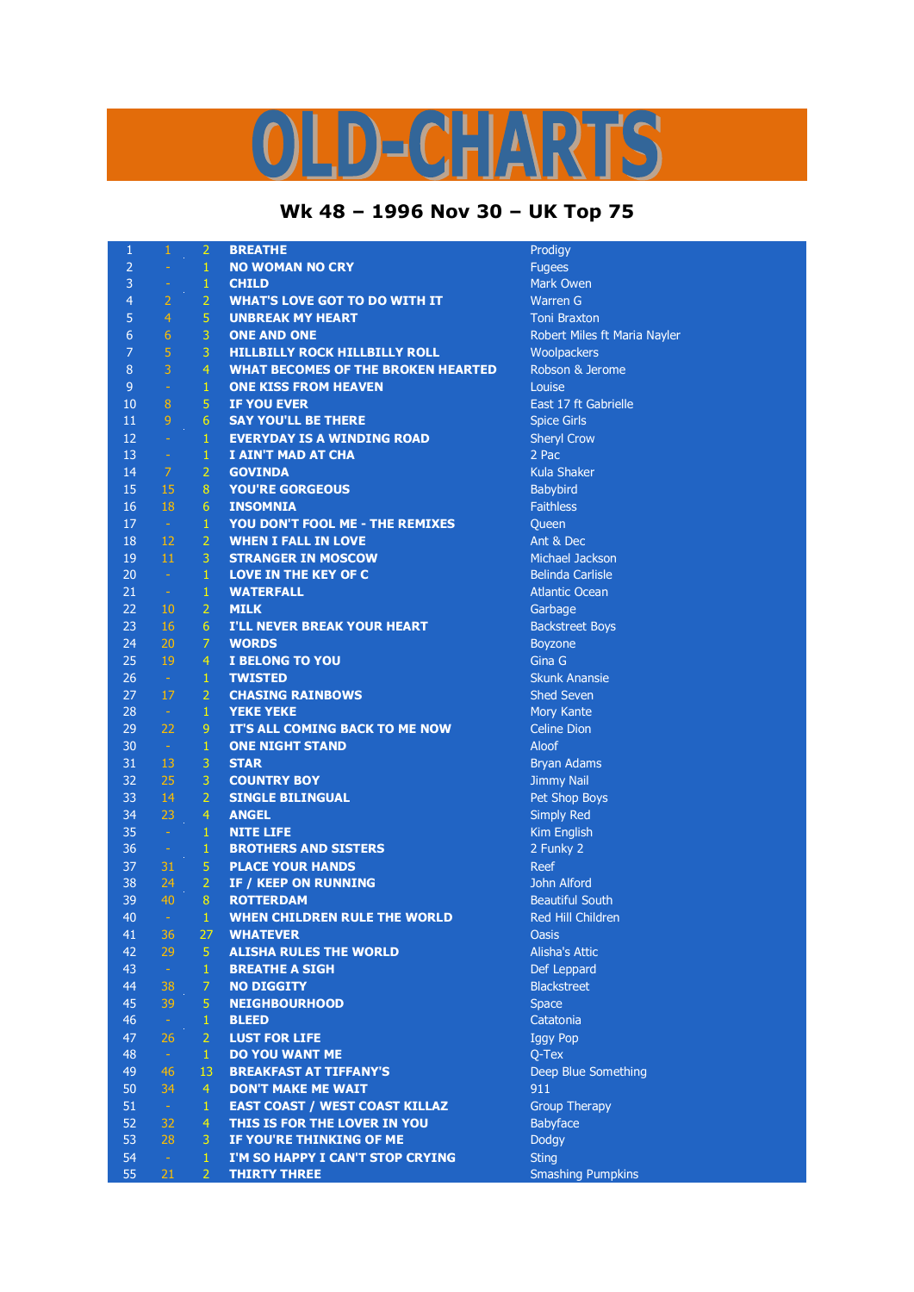## D-CHARTS L,

## **Wk 48 – 1996 Nov 30 – UK Top 75**

| 1              | $\mathbf{1}$   | $\overline{2}$ | <b>BREATHE</b>                            | Prodigy                      |
|----------------|----------------|----------------|-------------------------------------------|------------------------------|
| $\overline{2}$ | ä,             | $\mathbf{1}$   | <b>NO WOMAN NO CRY</b>                    | <b>Fugees</b>                |
| 3              | ÷              | $\mathbf 1$    | <b>CHILD</b>                              | Mark Owen                    |
| 4              | $\overline{2}$ | $\overline{2}$ | <b>WHAT'S LOVE GOT TO DO WITH IT</b>      | <b>Warren G</b>              |
| 5              | 4              | 5              | <b>UNBREAK MY HEART</b>                   | <b>Toni Braxton</b>          |
| $6\phantom{1}$ | $\sqrt{6}$     | 3              | <b>ONE AND ONE</b>                        | Robert Miles ft Maria Nayler |
| $\overline{7}$ | 5              | 3              | <b>HILLBILLY ROCK HILLBILLY ROLL</b>      | Woolpackers                  |
| 8              | $\overline{3}$ | $\overline{4}$ | <b>WHAT BECOMES OF THE BROKEN HEARTED</b> | Robson & Jerome              |
| 9              | ÷,             | $\mathbf{1}$   | <b>ONE KISS FROM HEAVEN</b>               | Louise                       |
| 10             | $\bf 8$        | 5              | <b>IF YOU EVER</b>                        | East 17 ft Gabrielle         |
| 11             | $\overline{9}$ | $6\phantom{1}$ | <b>SAY YOU'LL BE THERE</b>                | <b>Spice Girls</b>           |
| 12             | ÷              | $\mathbf{1}$   | <b>EVERYDAY IS A WINDING ROAD</b>         | <b>Sheryl Crow</b>           |
| 13             | $\equiv$       | $\mathbf 1$    | I AIN'T MAD AT CHA                        | 2 Pac                        |
| 14             | 7              | $\overline{2}$ | <b>GOVINDA</b>                            | Kula Shaker                  |
| 15             | 15             | 8              | <b>YOU'RE GORGEOUS</b>                    | Babybird                     |
| 16             | 18             | $6\,$          | <b>INSOMNIA</b>                           | <b>Faithless</b>             |
| 17             | $\pm$          | $\,1\,$        | YOU DON'T FOOL ME - THE REMIXES           | Queen                        |
| 18             | 12             | $\overline{2}$ | <b>WHEN I FALL IN LOVE</b>                | Ant & Dec                    |
| 19             | 11             | 3              | <b>STRANGER IN MOSCOW</b>                 | Michael Jackson              |
| 20             | $\omega$       | $\mathbf 1$    | LOVE IN THE KEY OF C                      | <b>Belinda Carlisle</b>      |
| 21             | $\equiv$       | $\mathbf 1$    | <b>WATERFALL</b>                          | <b>Atlantic Ocean</b>        |
| 22             | 10             | $\overline{2}$ | <b>MILK</b>                               | Garbage                      |
| 23             | 16             | $6\,$          | <b>I'LL NEVER BREAK YOUR HEART</b>        | <b>Backstreet Boys</b>       |
| 24             | 20             | $\overline{7}$ | <b>WORDS</b>                              | Boyzone                      |
| 25             | 19             | $\overline{4}$ | <b>I BELONG TO YOU</b>                    | Gina G                       |
| 26             | $\sim$         | $\mathbf{1}$   | <b>TWISTED</b>                            | <b>Skunk Anansie</b>         |
| 27             | 17             | $\overline{2}$ | <b>CHASING RAINBOWS</b>                   | <b>Shed Seven</b>            |
| 28             | $\sim$         | $\,1\,$        | <b>YEKE YEKE</b>                          | Mory Kante                   |
| 29             | 22             | 9              | IT'S ALL COMING BACK TO ME NOW            | <b>Celine Dion</b>           |
| 30             | $\sim$         | $\mathbf 1$    | <b>ONE NIGHT STAND</b>                    | Aloof                        |
| 31             | 13             | 3              | <b>STAR</b>                               | <b>Bryan Adams</b>           |
| 32             | 25             | 3              | <b>COUNTRY BOY</b>                        | <b>Jimmy Nail</b>            |
| 33             | 14             | $\overline{2}$ | <b>SINGLE BILINGUAL</b>                   | Pet Shop Boys                |
| 34             | 23             | $\overline{4}$ | <b>ANGEL</b>                              | <b>Simply Red</b>            |
| 35             | $\omega$       | $\mathbf{1}$   | <b>NITE LIFE</b>                          | Kim English                  |
| 36             | $\rightarrow$  | $\mathbf{1}$   | <b>BROTHERS AND SISTERS</b>               | 2 Funky 2                    |
| 37             | 31             | 5              | <b>PLACE YOUR HANDS</b>                   | <b>Reef</b>                  |
| 38             | 24             | $\overline{2}$ | <b>IF / KEEP ON RUNNING</b>               | John Alford                  |
| 39             | 40             | $\bf 8$        | <b>ROTTERDAM</b>                          | <b>Beautiful South</b>       |
| 40             | $\Box$         | $\mathbf{1}$   | WHEN CHILDREN RULE THE WORLD              | Red Hill Children            |
| 41             | 36             | 27             | <b>WHATEVER</b>                           | <b>Oasis</b>                 |
| 42             | 29             | 5              | <b>ALISHA RULES THE WORLD</b>             | <b>Alisha's Attic</b>        |
| 43             | $\omega$       | $\mathbf{1}$   | <b>BREATHE A SIGH</b>                     | Def Leppard                  |
| 44             | 38             | $\overline{7}$ | <b>NO DIGGITY</b>                         | <b>Blackstreet</b>           |
| 45             | 39             | 5              | <b>NEIGHBOURHOOD</b>                      | <b>Space</b>                 |
| 46             | $\omega$       | $\mathbf{1}$   | <b>BLEED</b>                              | Catatonia                    |
| 47             | 26             | $\overline{2}$ | <b>LUST FOR LIFE</b>                      | <b>Iggy Pop</b>              |
| 48             | $\omega$       | $\mathbf{1}$   | <b>DO YOU WANT ME</b>                     | Q-Tex                        |
| 49             | 46             | 13             | <b>BREAKFAST AT TIFFANY'S</b>             | Deep Blue Something          |
| 50             | 34             | $\overline{4}$ | <b>DON'T MAKE ME WAIT</b>                 | 911                          |
| 51             | $\omega$       | $\mathbf{1}$   | <b>EAST COAST / WEST COAST KILLAZ</b>     | <b>Group Therapy</b>         |
| 52             | 32             | $\overline{4}$ | THIS IS FOR THE LOVER IN YOU              | Babyface                     |
| 53             | 28             | 3              | IF YOU'RE THINKING OF ME                  | Dodgy                        |
| 54             | $\omega$       | 1              | I'M SO HAPPY I CAN'T STOP CRYING          | <b>Sting</b>                 |
| 55             | 21             | $\overline{2}$ |                                           |                              |
|                |                |                | <b>THIRTY THREE</b>                       | <b>Smashing Pumpkins</b>     |